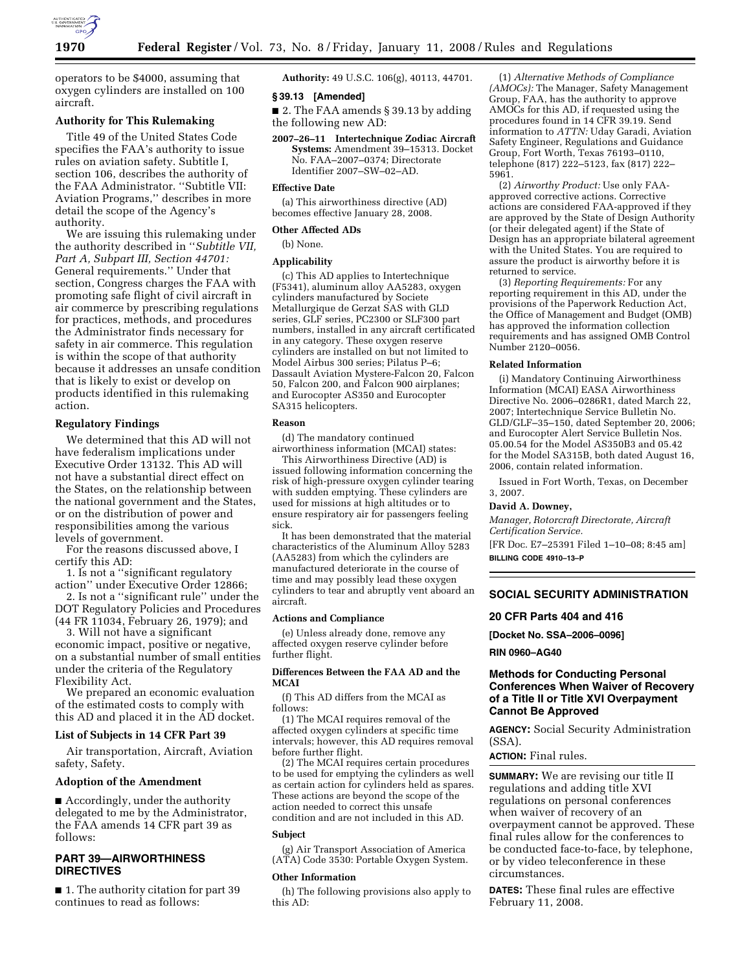

operators to be \$4000, assuming that oxygen cylinders are installed on 100 aircraft.

# **Authority for This Rulemaking**

Title 49 of the United States Code specifies the FAA's authority to issue rules on aviation safety. Subtitle I, section 106, describes the authority of the FAA Administrator. ''Subtitle VII: Aviation Programs,'' describes in more detail the scope of the Agency's authority.

We are issuing this rulemaking under the authority described in ''*Subtitle VII, Part A, Subpart III, Section 44701:*  General requirements.'' Under that section, Congress charges the FAA with promoting safe flight of civil aircraft in air commerce by prescribing regulations for practices, methods, and procedures the Administrator finds necessary for safety in air commerce. This regulation is within the scope of that authority because it addresses an unsafe condition that is likely to exist or develop on products identified in this rulemaking action.

# **Regulatory Findings**

We determined that this AD will not have federalism implications under Executive Order 13132. This AD will not have a substantial direct effect on the States, on the relationship between the national government and the States, or on the distribution of power and responsibilities among the various levels of government.

For the reasons discussed above, I certify this AD:

1. Is not a ''significant regulatory action'' under Executive Order 12866;

2. Is not a ''significant rule'' under the DOT Regulatory Policies and Procedures (44 FR 11034, February 26, 1979); and

3. Will not have a significant economic impact, positive or negative, on a substantial number of small entities under the criteria of the Regulatory Flexibility Act.

We prepared an economic evaluation of the estimated costs to comply with this AD and placed it in the AD docket.

# **List of Subjects in 14 CFR Part 39**

Air transportation, Aircraft, Aviation safety, Safety.

#### **Adoption of the Amendment**

■ Accordingly, under the authority delegated to me by the Administrator, the FAA amends 14 CFR part 39 as follows:

# **PART 39—AIRWORTHINESS DIRECTIVES**

■ 1. The authority citation for part 39 continues to read as follows:

**Authority:** 49 U.S.C. 106(g), 40113, 44701.

# **§ 39.13 [Amended]**

■ 2. The FAA amends § 39.13 by adding the following new AD:

**2007–26–11 Intertechnique Zodiac Aircraft Systems:** Amendment 39–15313. Docket No. FAA–2007–0374; Directorate Identifier 2007–SW–02–AD.

### **Effective Date**

(a) This airworthiness directive (AD) becomes effective January 28, 2008.

### **Other Affected ADs**

(b) None.

# **Applicability**

(c) This AD applies to Intertechnique (F5341), aluminum alloy AA5283, oxygen cylinders manufactured by Societe Metallurgique de Gerzat SAS with GLD series, GLF series, PC2300 or SLF300 part numbers, installed in any aircraft certificated in any category. These oxygen reserve cylinders are installed on but not limited to Model Airbus 300 series; Pilatus P–6; Dassault Aviation Mystere-Falcon 20, Falcon 50, Falcon 200, and Falcon 900 airplanes; and Eurocopter AS350 and Eurocopter SA315 helicopters.

### **Reason**

(d) The mandatory continued airworthiness information (MCAI) states:

This Airworthiness Directive (AD) is issued following information concerning the risk of high-pressure oxygen cylinder tearing with sudden emptying. These cylinders are used for missions at high altitudes or to ensure respiratory air for passengers feeling sick.

It has been demonstrated that the material characteristics of the Aluminum Alloy 5283 (AA5283) from which the cylinders are manufactured deteriorate in the course of time and may possibly lead these oxygen cylinders to tear and abruptly vent aboard an aircraft.

# **Actions and Compliance**

(e) Unless already done, remove any affected oxygen reserve cylinder before further flight.

#### **Differences Between the FAA AD and the MCAI**

(f) This AD differs from the MCAI as follows:

(1) The MCAI requires removal of the affected oxygen cylinders at specific time intervals; however, this AD requires removal before further flight.

(2) The MCAI requires certain procedures to be used for emptying the cylinders as well as certain action for cylinders held as spares. These actions are beyond the scope of the action needed to correct this unsafe condition and are not included in this AD.

#### **Subject**

(g) Air Transport Association of America (ATA) Code 3530: Portable Oxygen System.

#### **Other Information**

(h) The following provisions also apply to this AD:

(1) *Alternative Methods of Compliance (AMOCs):* The Manager, Safety Management Group, FAA, has the authority to approve AMOCs for this AD, if requested using the procedures found in 14 CFR 39.19. Send information to *ATTN:* Uday Garadi, Aviation Safety Engineer, Regulations and Guidance Group, Fort Worth, Texas 76193–0110, telephone (817) 222–5123, fax (817) 222– 5961.

(2) *Airworthy Product:* Use only FAAapproved corrective actions. Corrective actions are considered FAA-approved if they are approved by the State of Design Authority (or their delegated agent) if the State of Design has an appropriate bilateral agreement with the United States. You are required to assure the product is airworthy before it is returned to service.

(3) *Reporting Requirements:* For any reporting requirement in this AD, under the provisions of the Paperwork Reduction Act, the Office of Management and Budget (OMB) has approved the information collection requirements and has assigned OMB Control Number 2120–0056.

#### **Related Information**

(i) Mandatory Continuing Airworthiness Information (MCAI) EASA Airworthiness Directive No. 2006–0286R1, dated March 22, 2007; Intertechnique Service Bulletin No. GLD/GLF–35–150, dated September 20, 2006; and Eurocopter Alert Service Bulletin Nos. 05.00.54 for the Model AS350B3 and 05.42 for the Model SA315B, both dated August 16, 2006, contain related information.

Issued in Fort Worth, Texas, on December 3, 2007.

### **David A. Downey,**

*Manager, Rotorcraft Directorate, Aircraft Certification Service.* 

[FR Doc. E7–25391 Filed 1–10–08; 8:45 am] **BILLING CODE 4910–13–P** 

#### **SOCIAL SECURITY ADMINISTRATION**

#### **20 CFR Parts 404 and 416**

**[Docket No. SSA–2006–0096]** 

**RIN 0960–AG40** 

# **Methods for Conducting Personal Conferences When Waiver of Recovery of a Title II or Title XVI Overpayment Cannot Be Approved**

**AGENCY:** Social Security Administration (SSA).

**ACTION:** Final rules.

**SUMMARY:** We are revising our title II regulations and adding title XVI regulations on personal conferences when waiver of recovery of an overpayment cannot be approved. These final rules allow for the conferences to be conducted face-to-face, by telephone, or by video teleconference in these circumstances.

**DATES:** These final rules are effective February 11, 2008.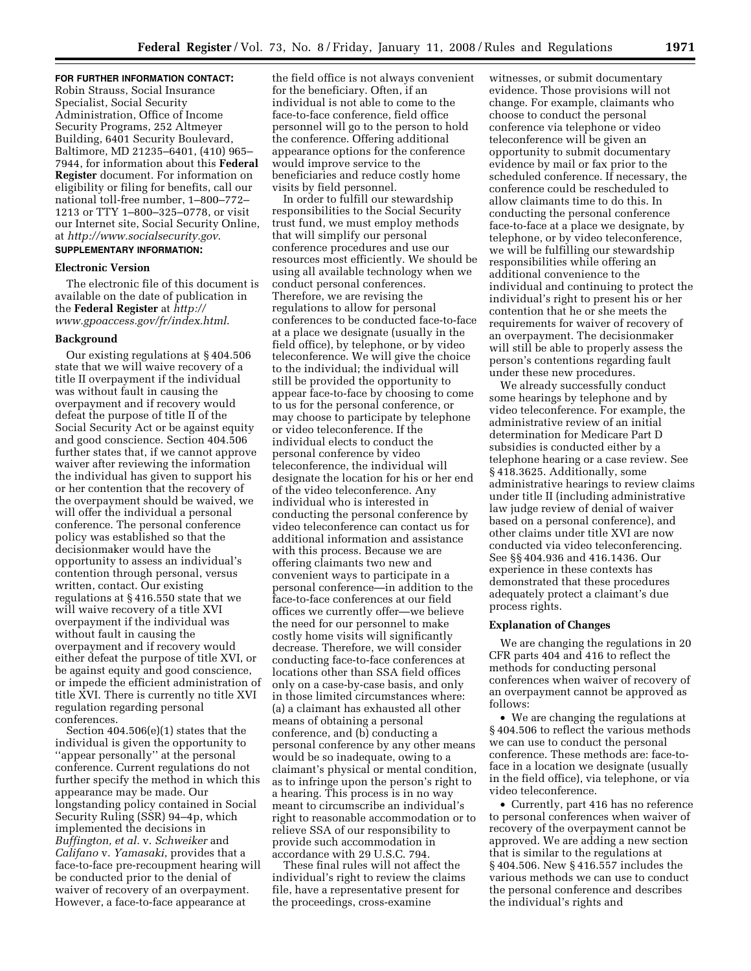# **FOR FURTHER INFORMATION CONTACT:**

Robin Strauss, Social Insurance Specialist, Social Security Administration, Office of Income Security Programs, 252 Altmeyer Building, 6401 Security Boulevard, Baltimore, MD 21235–6401, (410) 965– 7944, for information about this **Federal Register** document. For information on eligibility or filing for benefits, call our national toll-free number, 1–800–772– 1213 or TTY 1–800–325–0778, or visit our Internet site, Social Security Online, at *http://www.socialsecurity.gov*. **SUPPLEMENTARY INFORMATION:** 

# **Electronic Version**

The electronic file of this document is available on the date of publication in the **Federal Register** at *http:// www.gpoaccess.gov/fr/index.html*.

#### **Background**

Our existing regulations at § 404.506 state that we will waive recovery of a title II overpayment if the individual was without fault in causing the overpayment and if recovery would defeat the purpose of title II of the Social Security Act or be against equity and good conscience. Section 404.506 further states that, if we cannot approve waiver after reviewing the information the individual has given to support his or her contention that the recovery of the overpayment should be waived, we will offer the individual a personal conference. The personal conference policy was established so that the decisionmaker would have the opportunity to assess an individual's contention through personal, versus written, contact. Our existing regulations at § 416.550 state that we will waive recovery of a title XVI overpayment if the individual was without fault in causing the overpayment and if recovery would either defeat the purpose of title XVI, or be against equity and good conscience, or impede the efficient administration of title XVI. There is currently no title XVI regulation regarding personal conferences.

Section 404.506(e)(1) states that the individual is given the opportunity to ''appear personally'' at the personal conference. Current regulations do not further specify the method in which this appearance may be made. Our longstanding policy contained in Social Security Ruling (SSR) 94–4p, which implemented the decisions in *Buffington, et al.* v. *Schweiker* and *Califano* v. *Yamasaki*, provides that a face-to-face pre-recoupment hearing will be conducted prior to the denial of waiver of recovery of an overpayment. However, a face-to-face appearance at

the field office is not always convenient for the beneficiary. Often, if an individual is not able to come to the face-to-face conference, field office personnel will go to the person to hold the conference. Offering additional appearance options for the conference would improve service to the beneficiaries and reduce costly home visits by field personnel.

In order to fulfill our stewardship responsibilities to the Social Security trust fund, we must employ methods that will simplify our personal conference procedures and use our resources most efficiently. We should be using all available technology when we conduct personal conferences. Therefore, we are revising the regulations to allow for personal conferences to be conducted face-to-face at a place we designate (usually in the field office), by telephone, or by video teleconference. We will give the choice to the individual; the individual will still be provided the opportunity to appear face-to-face by choosing to come to us for the personal conference, or may choose to participate by telephone or video teleconference. If the individual elects to conduct the personal conference by video teleconference, the individual will designate the location for his or her end of the video teleconference. Any individual who is interested in conducting the personal conference by video teleconference can contact us for additional information and assistance with this process. Because we are offering claimants two new and convenient ways to participate in a personal conference—in addition to the face-to-face conferences at our field offices we currently offer—we believe the need for our personnel to make costly home visits will significantly decrease. Therefore, we will consider conducting face-to-face conferences at locations other than SSA field offices only on a case-by-case basis, and only in those limited circumstances where: (a) a claimant has exhausted all other means of obtaining a personal conference, and (b) conducting a personal conference by any other means would be so inadequate, owing to a claimant's physical or mental condition, as to infringe upon the person's right to a hearing. This process is in no way meant to circumscribe an individual's right to reasonable accommodation or to relieve SSA of our responsibility to provide such accommodation in accordance with 29 U.S.C. 794.

These final rules will not affect the individual's right to review the claims file, have a representative present for the proceedings, cross-examine

witnesses, or submit documentary evidence. Those provisions will not change. For example, claimants who choose to conduct the personal conference via telephone or video teleconference will be given an opportunity to submit documentary evidence by mail or fax prior to the scheduled conference. If necessary, the conference could be rescheduled to allow claimants time to do this. In conducting the personal conference face-to-face at a place we designate, by telephone, or by video teleconference, we will be fulfilling our stewardship responsibilities while offering an additional convenience to the individual and continuing to protect the individual's right to present his or her contention that he or she meets the requirements for waiver of recovery of an overpayment. The decisionmaker will still be able to properly assess the person's contentions regarding fault under these new procedures.

We already successfully conduct some hearings by telephone and by video teleconference. For example, the administrative review of an initial determination for Medicare Part D subsidies is conducted either by a telephone hearing or a case review. See § 418.3625. Additionally, some administrative hearings to review claims under title II (including administrative law judge review of denial of waiver based on a personal conference), and other claims under title XVI are now conducted via video teleconferencing. See §§ 404.936 and 416.1436. Our experience in these contexts has demonstrated that these procedures adequately protect a claimant's due process rights.

# **Explanation of Changes**

We are changing the regulations in 20 CFR parts 404 and 416 to reflect the methods for conducting personal conferences when waiver of recovery of an overpayment cannot be approved as follows:

• We are changing the regulations at § 404.506 to reflect the various methods we can use to conduct the personal conference. These methods are: face-toface in a location we designate (usually in the field office), via telephone, or via video teleconference.

• Currently, part 416 has no reference to personal conferences when waiver of recovery of the overpayment cannot be approved. We are adding a new section that is similar to the regulations at § 404.506. New § 416.557 includes the various methods we can use to conduct the personal conference and describes the individual's rights and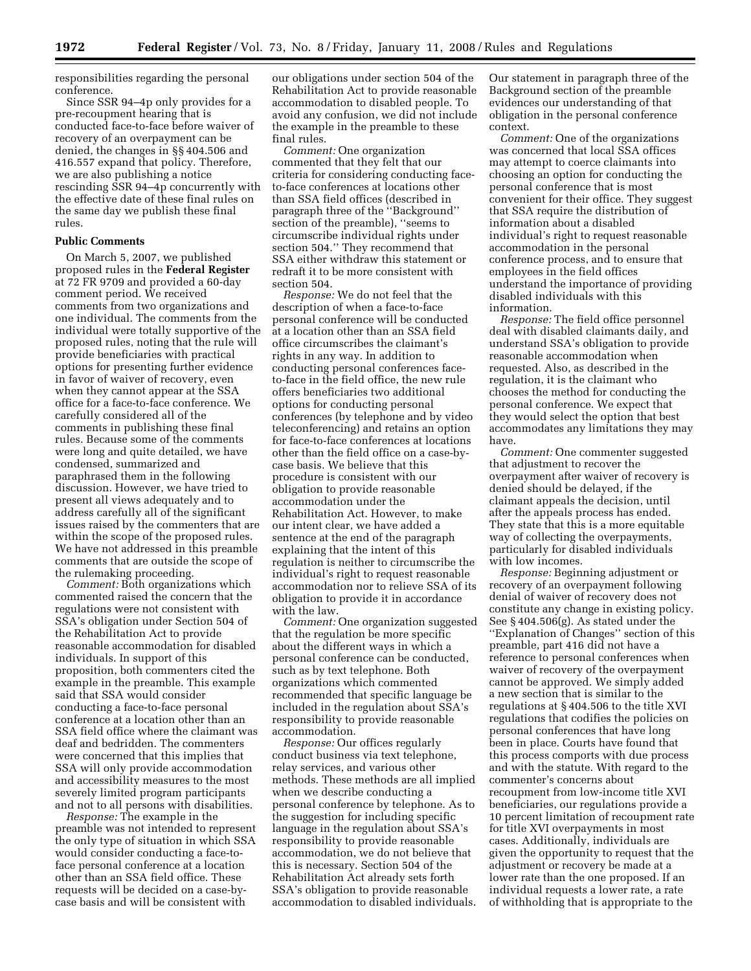responsibilities regarding the personal conference.

Since SSR 94–4p only provides for a pre-recoupment hearing that is conducted face-to-face before waiver of recovery of an overpayment can be denied, the changes in §§ 404.506 and 416.557 expand that policy. Therefore, we are also publishing a notice rescinding SSR 94–4p concurrently with the effective date of these final rules on the same day we publish these final rules.

### **Public Comments**

On March 5, 2007, we published proposed rules in the **Federal Register**  at 72 FR 9709 and provided a 60-day comment period. We received comments from two organizations and one individual. The comments from the individual were totally supportive of the proposed rules, noting that the rule will provide beneficiaries with practical options for presenting further evidence in favor of waiver of recovery, even when they cannot appear at the SSA office for a face-to-face conference. We carefully considered all of the comments in publishing these final rules. Because some of the comments were long and quite detailed, we have condensed, summarized and paraphrased them in the following discussion. However, we have tried to present all views adequately and to address carefully all of the significant issues raised by the commenters that are within the scope of the proposed rules. We have not addressed in this preamble comments that are outside the scope of the rulemaking proceeding.

*Comment:* Both organizations which commented raised the concern that the regulations were not consistent with SSA's obligation under Section 504 of the Rehabilitation Act to provide reasonable accommodation for disabled individuals. In support of this proposition, both commenters cited the example in the preamble. This example said that SSA would consider conducting a face-to-face personal conference at a location other than an SSA field office where the claimant was deaf and bedridden. The commenters were concerned that this implies that SSA will only provide accommodation and accessibility measures to the most severely limited program participants and not to all persons with disabilities.

*Response:* The example in the preamble was not intended to represent the only type of situation in which SSA would consider conducting a face-toface personal conference at a location other than an SSA field office. These requests will be decided on a case-bycase basis and will be consistent with

our obligations under section 504 of the Rehabilitation Act to provide reasonable accommodation to disabled people. To avoid any confusion, we did not include the example in the preamble to these final rules.

*Comment:* One organization commented that they felt that our criteria for considering conducting faceto-face conferences at locations other than SSA field offices (described in paragraph three of the ''Background'' section of the preamble), ''seems to circumscribe individual rights under section 504.'' They recommend that SSA either withdraw this statement or redraft it to be more consistent with section 504.

*Response:* We do not feel that the description of when a face-to-face personal conference will be conducted at a location other than an SSA field office circumscribes the claimant's rights in any way. In addition to conducting personal conferences faceto-face in the field office, the new rule offers beneficiaries two additional options for conducting personal conferences (by telephone and by video teleconferencing) and retains an option for face-to-face conferences at locations other than the field office on a case-bycase basis. We believe that this procedure is consistent with our obligation to provide reasonable accommodation under the Rehabilitation Act. However, to make our intent clear, we have added a sentence at the end of the paragraph explaining that the intent of this regulation is neither to circumscribe the individual's right to request reasonable accommodation nor to relieve SSA of its obligation to provide it in accordance with the law.

*Comment:* One organization suggested that the regulation be more specific about the different ways in which a personal conference can be conducted, such as by text telephone. Both organizations which commented recommended that specific language be included in the regulation about SSA's responsibility to provide reasonable accommodation.

*Response:* Our offices regularly conduct business via text telephone, relay services, and various other methods. These methods are all implied when we describe conducting a personal conference by telephone. As to the suggestion for including specific language in the regulation about SSA's responsibility to provide reasonable accommodation, we do not believe that this is necessary. Section 504 of the Rehabilitation Act already sets forth SSA's obligation to provide reasonable accommodation to disabled individuals.

Our statement in paragraph three of the Background section of the preamble evidences our understanding of that obligation in the personal conference context.

*Comment:* One of the organizations was concerned that local SSA offices may attempt to coerce claimants into choosing an option for conducting the personal conference that is most convenient for their office. They suggest that SSA require the distribution of information about a disabled individual's right to request reasonable accommodation in the personal conference process, and to ensure that employees in the field offices understand the importance of providing disabled individuals with this information.

*Response:* The field office personnel deal with disabled claimants daily, and understand SSA's obligation to provide reasonable accommodation when requested. Also, as described in the regulation, it is the claimant who chooses the method for conducting the personal conference. We expect that they would select the option that best accommodates any limitations they may have.

*Comment:* One commenter suggested that adjustment to recover the overpayment after waiver of recovery is denied should be delayed, if the claimant appeals the decision, until after the appeals process has ended. They state that this is a more equitable way of collecting the overpayments, particularly for disabled individuals with low incomes.

*Response:* Beginning adjustment or recovery of an overpayment following denial of waiver of recovery does not constitute any change in existing policy. See § 404.506(g). As stated under the ''Explanation of Changes'' section of this preamble, part 416 did not have a reference to personal conferences when waiver of recovery of the overpayment cannot be approved. We simply added a new section that is similar to the regulations at § 404.506 to the title XVI regulations that codifies the policies on personal conferences that have long been in place. Courts have found that this process comports with due process and with the statute. With regard to the commenter's concerns about recoupment from low-income title XVI beneficiaries, our regulations provide a 10 percent limitation of recoupment rate for title XVI overpayments in most cases. Additionally, individuals are given the opportunity to request that the adjustment or recovery be made at a lower rate than the one proposed. If an individual requests a lower rate, a rate of withholding that is appropriate to the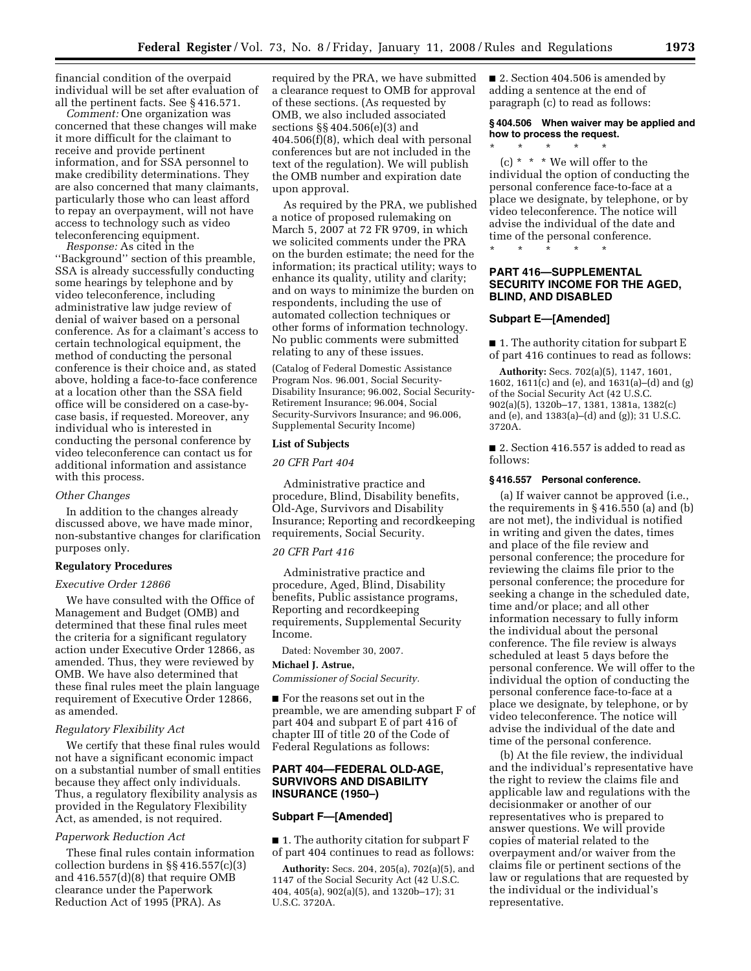financial condition of the overpaid individual will be set after evaluation of all the pertinent facts. See § 416.571.

*Comment:* One organization was concerned that these changes will make it more difficult for the claimant to receive and provide pertinent information, and for SSA personnel to make credibility determinations. They are also concerned that many claimants, particularly those who can least afford to repay an overpayment, will not have access to technology such as video teleconferencing equipment.

*Response:* As cited in the ''Background'' section of this preamble, SSA is already successfully conducting some hearings by telephone and by video teleconference, including administrative law judge review of denial of waiver based on a personal conference. As for a claimant's access to certain technological equipment, the method of conducting the personal conference is their choice and, as stated above, holding a face-to-face conference at a location other than the SSA field office will be considered on a case-bycase basis, if requested. Moreover, any individual who is interested in conducting the personal conference by video teleconference can contact us for additional information and assistance with this process.

#### *Other Changes*

In addition to the changes already discussed above, we have made minor, non-substantive changes for clarification purposes only.

# **Regulatory Procedures**

# *Executive Order 12866*

We have consulted with the Office of Management and Budget (OMB) and determined that these final rules meet the criteria for a significant regulatory action under Executive Order 12866, as amended. Thus, they were reviewed by OMB. We have also determined that these final rules meet the plain language requirement of Executive Order 12866, as amended.

### *Regulatory Flexibility Act*

We certify that these final rules would not have a significant economic impact on a substantial number of small entities because they affect only individuals. Thus, a regulatory flexibility analysis as provided in the Regulatory Flexibility Act, as amended, is not required.

#### *Paperwork Reduction Act*

These final rules contain information collection burdens in §§ 416.557(c)(3) and 416.557(d)(8) that require OMB clearance under the Paperwork Reduction Act of 1995 (PRA). As

required by the PRA, we have submitted a clearance request to OMB for approval of these sections. (As requested by OMB, we also included associated sections §§ 404.506(e)(3) and 404.506(f)(8), which deal with personal conferences but are not included in the text of the regulation). We will publish the OMB number and expiration date upon approval.

As required by the PRA, we published a notice of proposed rulemaking on March 5, 2007 at 72 FR 9709, in which we solicited comments under the PRA on the burden estimate; the need for the information; its practical utility; ways to enhance its quality, utility and clarity; and on ways to minimize the burden on respondents, including the use of automated collection techniques or other forms of information technology. No public comments were submitted relating to any of these issues.

(Catalog of Federal Domestic Assistance Program Nos. 96.001, Social Security-Disability Insurance; 96.002, Social Security-Retirement Insurance; 96.004, Social Security-Survivors Insurance; and 96.006, Supplemental Security Income)

#### **List of Subjects**

#### *20 CFR Part 404*

Administrative practice and procedure, Blind, Disability benefits, Old-Age, Survivors and Disability Insurance; Reporting and recordkeeping requirements, Social Security.

# *20 CFR Part 416*

Administrative practice and procedure, Aged, Blind, Disability benefits, Public assistance programs, Reporting and recordkeeping requirements, Supplemental Security Income.

Dated: November 30, 2007.

# **Michael J. Astrue,**

*Commissioner of Social Security.* 

■ For the reasons set out in the preamble, we are amending subpart F of part 404 and subpart E of part 416 of chapter III of title 20 of the Code of Federal Regulations as follows:

# **PART 404—FEDERAL OLD-AGE, SURVIVORS AND DISABILITY INSURANCE (1950–)**

# **Subpart F—[Amended]**

■ 1. The authority citation for subpart F of part 404 continues to read as follows:

**Authority:** Secs. 204, 205(a), 702(a)(5), and 1147 of the Social Security Act (42 U.S.C. 404, 405(a), 902(a)(5), and 1320b–17); 31 U.S.C. 3720A.

■ 2. Section 404.506 is amended by adding a sentence at the end of paragraph (c) to read as follows:

# **§ 404.506 When waiver may be applied and how to process the request.**

\* \* \* \* \*

(c)  $*$   $*$   $*$  We will offer to the individual the option of conducting the personal conference face-to-face at a place we designate, by telephone, or by video teleconference. The notice will advise the individual of the date and time of the personal conference.

#### \* \* \* \* \*

# **PART 416—SUPPLEMENTAL SECURITY INCOME FOR THE AGED, BLIND, AND DISABLED**

### **Subpart E—[Amended]**

■ 1. The authority citation for subpart E of part 416 continues to read as follows:

**Authority:** Secs. 702(a)(5), 1147, 1601, 1602, 1611(c) and (e), and 1631(a)–(d) and (g) of the Social Security Act (42 U.S.C. 902(a)(5), 1320b–17, 1381, 1381a, 1382(c) and (e), and 1383(a)–(d) and (g)); 31 U.S.C. 3720A.

■ 2. Section 416.557 is added to read as follows:

#### **§ 416.557 Personal conference.**

(a) If waiver cannot be approved (i.e., the requirements in § 416.550 (a) and (b) are not met), the individual is notified in writing and given the dates, times and place of the file review and personal conference; the procedure for reviewing the claims file prior to the personal conference; the procedure for seeking a change in the scheduled date, time and/or place; and all other information necessary to fully inform the individual about the personal conference. The file review is always scheduled at least 5 days before the personal conference. We will offer to the individual the option of conducting the personal conference face-to-face at a place we designate, by telephone, or by video teleconference. The notice will advise the individual of the date and time of the personal conference.

(b) At the file review, the individual and the individual's representative have the right to review the claims file and applicable law and regulations with the decisionmaker or another of our representatives who is prepared to answer questions. We will provide copies of material related to the overpayment and/or waiver from the claims file or pertinent sections of the law or regulations that are requested by the individual or the individual's representative.